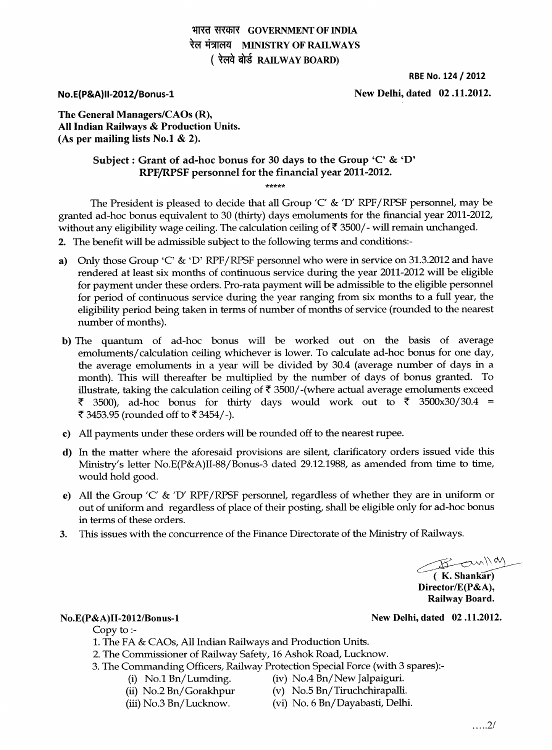# **भारत सरकार GOVERNMENT OF INDIA** रेल मंत्रालय MINISTRY OF RAILWAYS **( रेलवे बोर्ड RAILWAY BOARD)**

**RBE No. 124 / 2012** 

**No.E(P&A)II-2012/Bonus-1 New Delhi, dated 02 .11.2012.** 

**The General Managers/CAOs (R), All Indian Railways & Production Units. (As per mailing lists No.! & 2).** 

# **Subject : Grant of ad-hoc bonus for 30 days to the Group 'C' & 'D' RPF/RPSF personnel for the financial year 2011-2012.**

**\*\*\*\*\*** 

The President is pleased to decide that all Group 'C' & 'D' RPF/RPSF personnel, may be granted ad-hoc bonus equivalent to 30 (thirty) days emoluments for the financial year 2011-2012, without any eligibility wage ceiling. The calculation ceiling of  $\bar{\tau}$  3500/- will remain unchanged.

- **2.** The benefit will be admissible subject to the following terms and conditions:-
- a) Only those Group 'C' & 'D' RPF/RPSF personnel who were in service on 31.3.2012 and have rendered at least six months of continuous service during the year 2011-2012 will be eligible for payment under these orders. Pro-rata payment will be admissible to the eligible personnel for period of continuous service during the year ranging from six months to a full year, the eligibility period being taken in terms of number of months of service (rounded to the nearest number of months).
- b) The quantum of ad-hoc bonus will be worked out on the basis of average emoluments/ calculation ceiling whichever is lower. To calculate ad-hoc bonus for one day, the average emoluments in a year will be divided by 30.4 (average number of days in a month). This will thereafter be multiplied by the number of days of bonus granted. To illustrate, taking the calculation ceiling of  $\bar{\tau}$  3500/-(where actual average emoluments exceed  $\bar{\xi}$  3500), ad-hoc bonus for thirty days would work out to  $\bar{\xi}$  3500x30/30.4 = ₹ 3453.95 (rounded off to ₹3454/-).
- **c) All** payments under these orders will be rounded off to the nearest rupee.
- d) In the matter where the aforesaid provisions are silent, clarificatory orders issued vide this Ministry's letter No.E(P&A)II-88/Bonus-3 dated 29.12.1988, as amended from time to time, would hold good.
- **e) All** the Group 'C' & 'D' RPF/RPSF personnel, regardless of whether they are in uniform or out of uniform and regardless of place of their posting, shall be eligible only for ad-hoc bonus in terms of these orders.
- 3. This issues with the concurrence of the Finance Directorate of the Ministry of Railways.

 $E = C$ un/1 cm

**\_------- ( K. Shankar) Director/E(P&A), Railway Board.** 

### **No.E(P&A)II-2012/Bonus-1 New Delhi, dated 02 .11.2012.**

Copy to :-

- 1. The FA & CAOs, All Indian Railways and Production Units.
- 2. The Commissioner of Railway Safety, 16 Ashok Road, Lucknow.
- 3. The Commanding Officers, Railway Protection Special Force (with 3 spares):-
	- (i) No.1 Bn/Lumding. (iv) No.4 Bn/ New Jalpaiguri.
	- (ii) No.2 Bn/Gorakhpur (v) No.5 Bn/Tiruchchirapalli.
	-
- 
- 
- (iii) No.3 Bn/Lucknow. (vi) No. 6 Bn/Dayabasti, Delhi.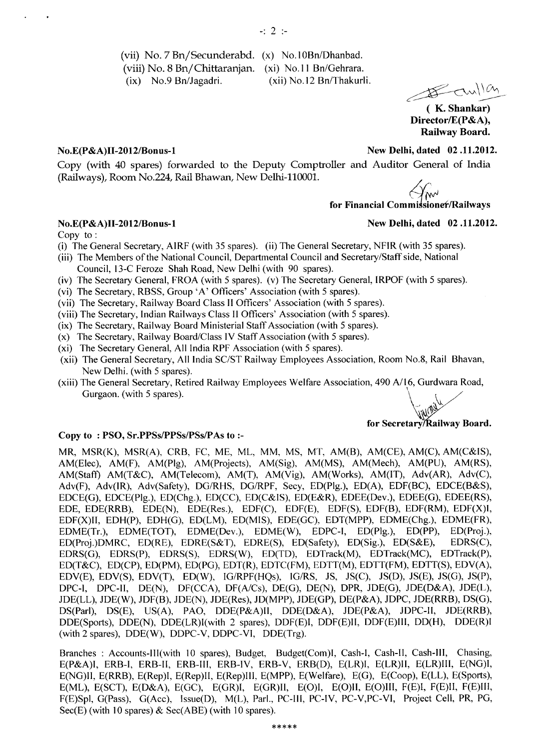(vii) No. 7 Bn/Secunderabd. (x) No.10Bn/Dhanbad. (viii) No. 8 Bn/Chittaranjan. (xi) No.11 Bn/Gehrara. (ix) No.9 Bn/Jagadri. (xii) No.12 Bn/Thakurli.

 $\frac{114}{11}$ 

**( K. Shankar) Director/E(P&A), Railway Board.** 

### **No.E(P&A)II-2012/Bonus-1 New Delhi, dated 02 .11.2012.**

Copy (with 40 spares) forwarded to the Deputy Comptroller and Auditor General of India (Railways), Room No.224, Rail Bhawan, New Delhi-110001.

*M<sup>W</sup>***<br>for Financial Commissioner/Railways** 

### **No.E(P&A)II-2012/Bonus-1**

Copy to

- (i) The General Secretary, AIRF (with 35 spares). (ii) The General Secretary, NFIR (with 35 spares).
- (iii) The Members of the National Council, Departmental Council and Secretary/Staff side, National
- Council, 13-C Feroze Shah Road, New Delhi (with 90 spares).
- (iv) The Secretary General, FROA (with 5 spares). (v) The Secretary General, IRPOF (with 5 spares).
- (vi) The Secretary, RBSS, Group 'A' Officers' Association (with 5 spares).
- (vii) The Secretary, Railway Board Class II Officers' Association (with 5 spares).
- (viii) The Secretary, Indian Railways Class II Officers' Association (with 5 spares).
- (ix) The Secretary, Railway Board Ministerial Staff Association (with 5 spares).
- (x) The Secretary, Railway Board/Class IV Staff Association (with 5 spares).
- (xi) The Secretary General, All India RPF Association (with 5 spares).
- (xii) The General Secretary, All India SC/ST Railway Employees Association, Room No.8, Rail Bhavan, New Delhi. (with 5 spares).
- (xiii) The General Secretary, Retired Railway Employees Welfare Association, 490 A/16, Gurdwara Road, Gurgaon. (with 5 spares).

# **for Secretary/Railway Board.**

### **Copy to : PSO, Sr.PPSs/PPSs/PSs/PAs to :-**

**MR,** MSR(K), MSR(A), CRB, FC, ME, ML, MM, MS, MT, AM(B), AM(CE), AM(C), AM(C&IS), AM(Elec), AM(F), AM(Plg), AM(Projects), AM(Sig), AM(MS), AM(Mech), AM(PU), AM(RS), AM(Staff) AM(T&C), AM(Telecom), AM(T), AM(Vig), AM(Works), AM(IT), Adv(AR), Adv(C), Adv(F), Adv(IR), Adv(Safety), DG/RHS, DG/RPF, Secy, ED(Plg.), ED(A), EDF(BC), EDCE(B&S), EDCE(G), EDCE(Plg.), ED(Chg.), ED(CC), ED(C&IS), ED(E&R), EDEE(Dev.), EDEE(G), EDEE(RS), EDE, EDE(RRB), EDE(N), EDE(Res.), EDF(C), EDF(E), EDF(S), EDF(B), EDF(RM), EDF(X)I, EDF(X)II, EDH(P), EDH(G), ED(LM), ED(MIS), EDE(GC), EDT(MPP), EDME(Chg.), EDME(FR), EDME(Tr.), EDME(TOT), EDME(Dev.), EDME(W), EDPC-I, ED(Plg.), ED(PP), ED(Proj.), ED(Proj.), ED(Proj.), ED(Proj.), ED(Proj.), ED(Proj.), ED(Proj.), ED(Proj.), ED(Proj.), ED(Proj.), ED(Proj.), ED(Proj.), ED(Proj.), ED(Proj.), ED(Proj.)DMRC, ED(RE), EDRE(S&T), EDRE(S), ED(Safety), ED(Sig.), ED(S&E), EDRS(G), EDRS(P), EDRS(S), EDRS(W), ED(TD), EDTrack(M), EDTrack(MC), EDTrack(P), ED(T&C), ED(CP), ED(PM), ED(PG), EDT(R), EDTC(FM), EDTT(M), EDTT(FM), EDTT(S), EDV(A), EDV(E), EDV(S), EDV(T), ED(W), IG/RPF(HQs), IG/RS, JS, JS(C), JS(D), JS(E), JS(G), JS(P), DPC-I, DPC-II, DE(N), DF(CCA), DF(A/Cs), DE(G), DE(N), DPR, JDE(G), JDE(D&A), JDE(L), JDE(LL), JDE(W), JDF(B), JDE(N), JDE(Res), JD(MPP), JDE(GP), DE(P&A), JDPC, JDE(RRB), DS(G), DS(Parl), DS(E), US(A), PAO, DDE(P&A)Il, DDE(D&A), JDE(P&A), JDPC-II, JDE(RRB), DDE(Sports), DDE(N), DDE(LR)I(with 2 spares), DDF(E)I, DDF(E)II, DDF(E)III, DD(H), DDE(R)I (with 2 spares), DDE(W), DDPC-V, DDPC-VI, DDE(Trg).

Branches : Accounts-III(with 10 spares), Budget, Budget(Com)I, Cash-I, Cash-II, Cash-Ill, Chasing, E(P&A)I, ERB-I, ERB-II, ERB-III, ERB-IV, ERB-V, ERB(D), E(LR)I, E(LR)II, E(LR)III, E(NG)I, E(NG)II, E(RRB), E(Rep)I, E(Rep)II, E(Rep)111, E(MPP), E(Welfare), E(G), E(Coop), E(LL), E(Sports), E(ML), E(SCT), E(D&A), E(GC), E(GR)I, E(GR)II, E(O)I, E(O)II, E(O)III, F(E)I, F(E)II, F(E)III, F(E)Spl, G(Pass), G(Acc), lssue(D), M(L), Parl., PC-I11, PC-IV, PC-V,PC-VI, Project Cell, PR, PG, Sec(E) (with 10 spares)  $&$  Sec(ABE) (with 10 spares).

**New Delhi, dated 02 .11.2012.**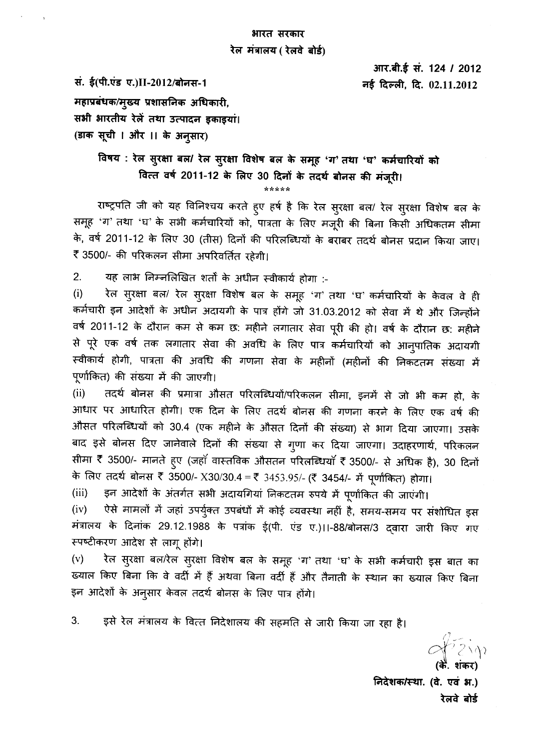# भारत सरकार रेल मंत्रालय ( रेलवे बोर्ड)

आर.बी.ई सं. 124 / 2012 नई दिल्ली, दि. 02.11.2012

सं. ई(पी.एंड ए.)II-2012/बोनस-1

महाप्रबंधक/मुख्य प्रशासनिक अधिकारी, सभी भारतीय रेलें तथा उत्पादन इकाइया। (डाक सूची । और ।। के अनुसार)

> विषय : रेल सुरक्षा बल/ रेल सुरक्षा विशेष बल के समूह 'ग' तथा 'घ' कर्मचारियों को वित्त वर्ष 2011-12 के लिए 30 दिनों के तदर्थ बोनस की मंजूरी।

राष्ट्रपति जी को यह विनिश्चय करते हुए हर्ष है कि रेल सुरक्षा बल/ रेल सुरक्षा विशेष बल के समूह 'ग' तथा 'घ' के सभी कर्मचारियों को, पात्रता के लिए मजूरी की बिना किसी अधिकतम सीमा के, वर्ष 2011-12 के लिए 30 (तीस) दिनों की परिलब्धियों के बराबर तदर्थ बोनस प्रदान किया जाए। ₹ 3500/- की परिकलन सीमा अपरिवर्तित रहेगी।

 $2.$ यह लाभ निम्नलिखित शर्तों के अधीन स्वीकार्य होगा :-

रेल सुरक्षा बल/ रेल सुरक्षा विशेष बल के समूह 'ग' तथा 'घ' कर्मचारियों के केवल वे ही  $(i)$ कर्मचारी इन आदेशों के अधीन अदायगी के पात्र होंगे जो 31.03.2012 को सेवा में थे और जिन्होंने वर्ष 2011-12 के दौरान कम से कम छ: महीने लगातार सेवा पूरी की हो। वर्ष के दौरान छ: महीने से पूरे एक वर्ष तक लगातार सेवा की अवधि के लिए पात्र कर्मचारियों को आनुपातिक अदायगी स्वीकार्य होगी, पात्रता की अवधि की गणना सेवा के महीनों (महीनों की निकटतम संख्या में पूर्णांकित) की संख्या में की जाएगी।

तदर्थ बोनस की प्रमात्रा औसत परिलब्धियों/परिकलन सीमा, इनमें से जो भी कम हो, के  $(ii)$ आधार पर आधारित होगी। एक दिन के लिए तदर्थ बोनस की गणना करने के लिए एक वर्ष की औसत परिलब्धियों को 30.4 (एक महीने के औसत दिनों की संख्या) से भाग दिया जाएगा। उसके बाद इसे बोनस दिए जानेवाले दिनों की संख्या से गुणा कर दिया जाएगा। उदाहरणार्थ, परिकलन सीमा ₹ 3500/- मानते हुए (जहाँ वास्तविक औसतन परिलब्धियाँ ₹ 3500/- से अधिक है), 30 दिनों के लिए तदर्थ बोनस ₹ 3500/- X30/30.4 = ₹ 3453.95/- (₹ 3454/- में पूर्णाकित) होगा।

 $(iii)$ इन आदेशों के अंतर्गत सभी अदायगियां निकटतम रुपये में पूर्णाकित की जाएंगी।

ऐसे मामलों में जहां उपर्युक्त उपबंधों में कोई व्यवस्था नहीं है, समय-समय पर संशोधित इस  $(iv)$ मंत्रालय के दिनांक 29.12.1988 के पत्रांक ई(पी. एंड ए.)।।-88/बोनस/3 द्वारा जारी किए गए स्पष्टीकरण आदेश से लागू होंगे।

रेल सुरक्षा बल/रेल सुरक्षा विशेष बल के समूह 'ग' तथा 'घ' के सभी कर्मचारी इस बात का  $(v)$ ख्याल किए बिना कि वे वर्दी में हैं अथवा बिना वर्दी हैं और तैनाती के स्थान का ख्याल किए बिना इन आदेशों के अनुसार केवल तदर्थ बोनस के लिए पात्र होंगे।

3. इसे रेल मंत्रालय के वित्त निदेशालय की सहमति से जारी किया जा रहा है।

निदेशक/स्था. (वे. एवं भ.) रेलवे बोर्ड